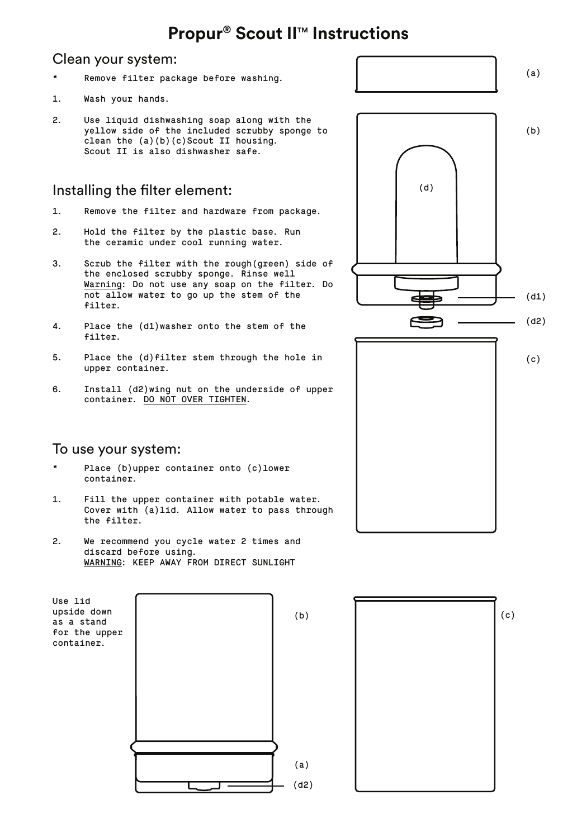# **Propur® Scout II™ Instructions**

#### Clean your system:

- Remove filter package before washing. \*
- Wash your hands. 1.
- Use liquid dishwashing soap along with the yellow side of the included scrubby sponge to clean the (a)(b)(c)Scout II housing. Scout II is also dishwasher safe. 2.

#### Installing the filter element:

- Remove the filter and hardware from package. 1.
- Hold the filter by the plastic base. Run the ceramic under cool running water. 2.
- Scrub the filter with the rough(green) side of the enclosed scrubby sponge. Rinse well <u>Warning</u>: Do not use any soap on the filter. Do<br>not allow water to go up the stem of the filter. 3.
- Place the (d1)washer onto the stem of the filter. 4.
- Place the (d) filter stem through the hole in upper container. 5.
- Install (d2)wing nut on the underside of upper container. DO NOT OVER TIGHTEN. 6.

### To use your system:

- Place (b)upper container onto (c)lower container. \*
- Fill the upper container with potable water. Cover with (a)lid. Allow water to pass through the filter. 1.
- We recommend you cycle water 2 times and discard before using. WARNING: KEEP AWAY FROM DIRECT SUNLIGHT 2.







(a)